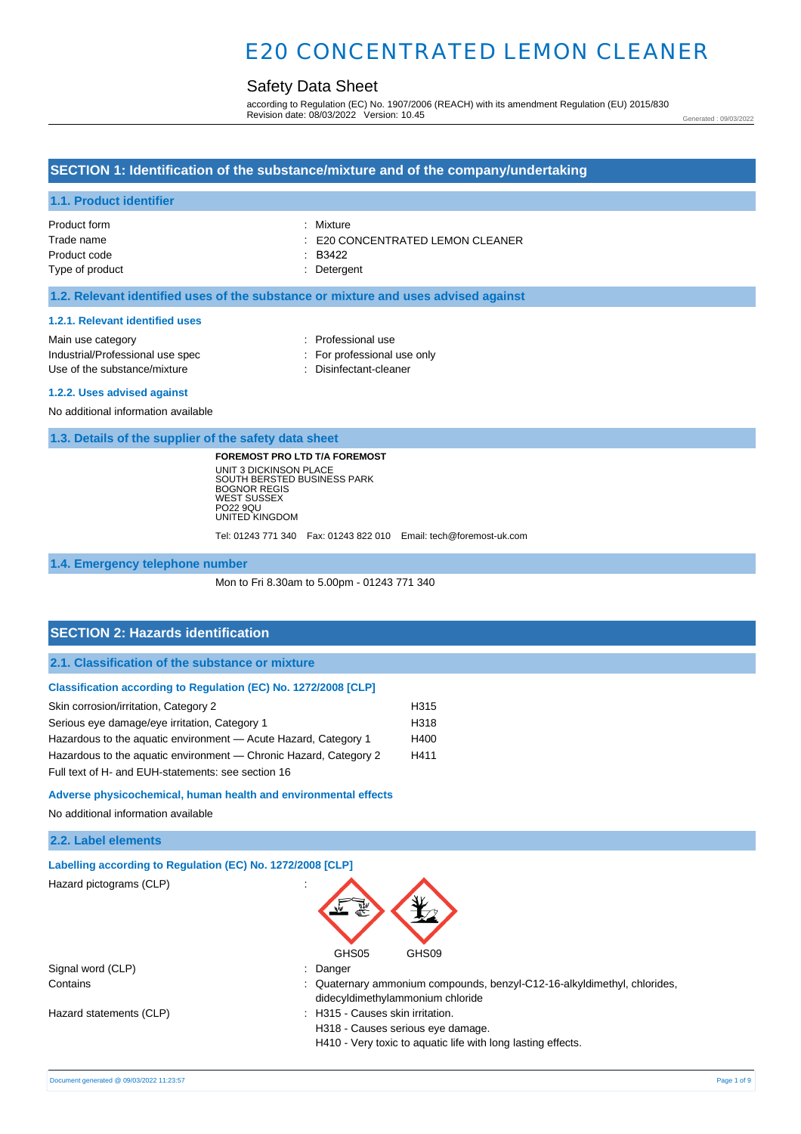# Safety Data Sheet

according to Regulation (EC) No. 1907/2006 (REACH) with its amendment Regulation (EU) 2015/830 Revision date: 08/03/2022 Version: 10.45

Generated : 09/03/2022

## **SECTION 1: Identification of the substance/mixture and of the company/undertaking**

### **1.1. Product identifier**

| Product form    | : Mixture                                   |
|-----------------|---------------------------------------------|
| Trade name      | $\therefore$ E20 CONCENTRATED LEMON CLEANER |
| Product code    | : B3422                                     |
| Type of product | : Detergent                                 |

#### **1.2. Relevant identified uses of the substance or mixture and uses advised against**

#### **1.2.1. Relevant identified uses**

| Main use category                |  |
|----------------------------------|--|
| Industrial/Professional use spec |  |
| Use of the substance/mixture     |  |

- : Professional use
- : For professional use only
- : Disinfectant-cleaner

#### **1.2.2. Uses advised against**

No additional information available

**1.3. Details of the supplier of the safety data sheet**

**FOREMOST PRO LTD T/A FOREMOST** UNIT 3 DICKINSON PLACE SOUTH BERSTED BUSINESS PARK BOGNOR REGIS WEST SUSSEX PO22 9QU UNITED KINGDOM

Tel: 01243 771 340 Fax: 01243 822 010 Email: tech@foremost-uk.com

**1.4. Emergency telephone number**

Mon to Fri 8.30am to 5.00pm - 01243 771 340

## **SECTION 2: Hazards identification**

**2.1. Classification of the substance or mixture**

#### **Classification according to Regulation (EC) No. 1272/2008 [CLP]**

| Skin corrosion/irritation, Category 2                             | H <sub>315</sub> |
|-------------------------------------------------------------------|------------------|
| Serious eye damage/eye irritation, Category 1                     | H <sub>318</sub> |
| Hazardous to the aquatic environment - Acute Hazard, Category 1   | H400             |
| Hazardous to the aquatic environment — Chronic Hazard, Category 2 | H411             |
| Full text of H- and EUH-statements: see section 16                |                  |

#### **Adverse physicochemical, human health and environmental effects**

No additional information available

| 2.2. Label elements |  |  |  |  |
|---------------------|--|--|--|--|
|---------------------|--|--|--|--|

| Labelling according to Regulation (EC) No. 1272/2008 [CLP] |                                                                                                              |
|------------------------------------------------------------|--------------------------------------------------------------------------------------------------------------|
| Hazard pictograms (CLP)                                    | $\mathbf{r}$                                                                                                 |
|                                                            | GHS05<br>GHS09                                                                                               |
| Signal word (CLP)                                          | : Danger                                                                                                     |
| Contains                                                   | : Quaternary ammonium compounds, benzyl-C12-16-alkyldimethyl, chlorides,<br>didecyldimethylammonium chloride |
| Hazard statements (CLP)                                    | : H315 - Causes skin irritation.                                                                             |
|                                                            | H318 - Causes serious eye damage.                                                                            |
|                                                            | H410 - Very toxic to aquatic life with long lasting effects.                                                 |
|                                                            |                                                                                                              |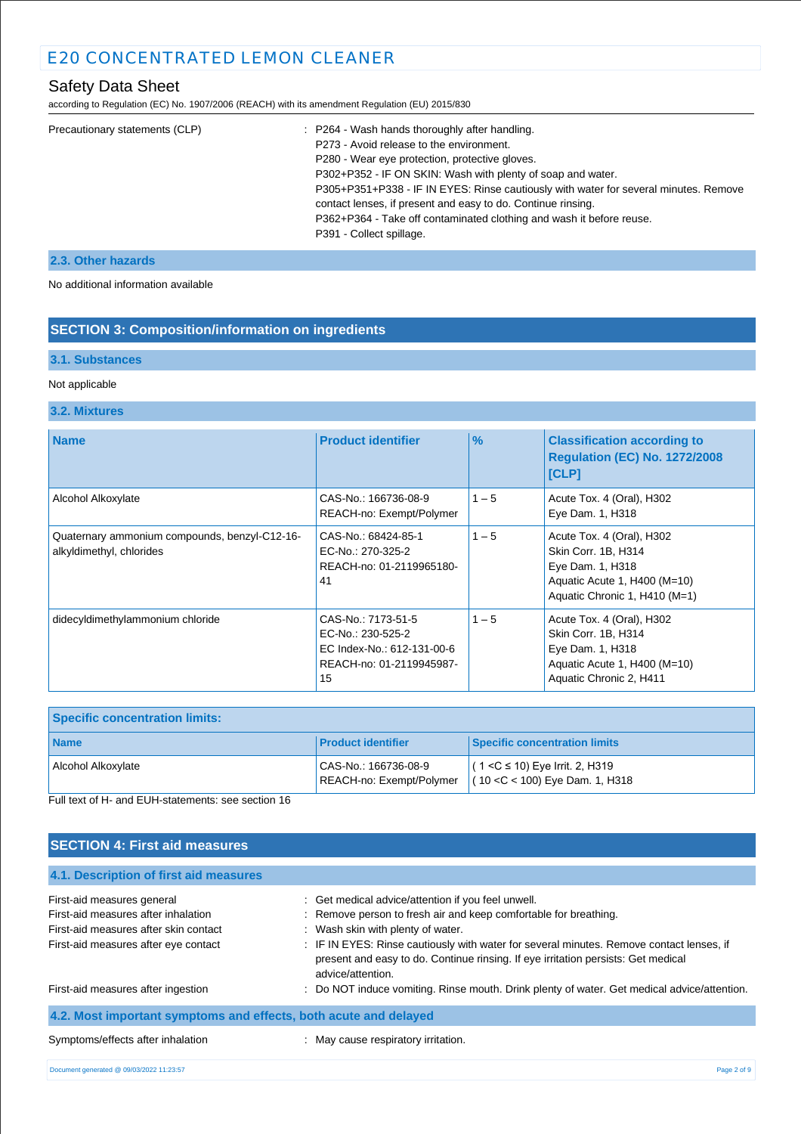# Safety Data Sheet

according to Regulation (EC) No. 1907/2006 (REACH) with its amendment Regulation (EU) 2015/830

| Precautionary statements (CLP) | : P264 - Wash hands thoroughly after handling.                                       |
|--------------------------------|--------------------------------------------------------------------------------------|
|                                | P273 - Avoid release to the environment.                                             |
|                                | P280 - Wear eye protection, protective gloves.                                       |
|                                | P302+P352 - IF ON SKIN: Wash with plenty of soap and water.                          |
|                                | P305+P351+P338 - IF IN EYES: Rinse cautiously with water for several minutes. Remove |
|                                | contact lenses, if present and easy to do. Continue rinsing.                         |
|                                | P362+P364 - Take off contaminated clothing and wash it before reuse.                 |
|                                | P391 - Collect spillage.                                                             |
|                                |                                                                                      |

### **2.3. Other hazards**

No additional information available

## **SECTION 3: Composition/information on ingredients**

### **3.1. Substances**

#### Not applicable

#### **3.2. Mixtures**

| <b>Name</b>                                                               | <b>Product identifier</b>                                                                               | $\frac{9}{6}$ | <b>Classification according to</b><br><b>Regulation (EC) No. 1272/2008</b><br><b>[CLP]</b>                                            |
|---------------------------------------------------------------------------|---------------------------------------------------------------------------------------------------------|---------------|---------------------------------------------------------------------------------------------------------------------------------------|
| Alcohol Alkoxylate                                                        | CAS-No.: 166736-08-9<br>REACH-no: Exempt/Polymer                                                        | $1 - 5$       | Acute Tox. 4 (Oral), H302<br>Eye Dam. 1, H318                                                                                         |
| Quaternary ammonium compounds, benzyl-C12-16-<br>alkyldimethyl, chlorides | CAS-No.: 68424-85-1<br>EC-No.: 270-325-2<br>REACH-no: 01-2119965180-<br>41                              | $1 - 5$       | Acute Tox. 4 (Oral), H302<br>Skin Corr. 1B, H314<br>Eye Dam. 1, H318<br>Aquatic Acute 1, H400 (M=10)<br>Aquatic Chronic 1, H410 (M=1) |
| didecyldimethylammonium chloride                                          | CAS-No.: 7173-51-5<br>EC-No.: 230-525-2<br>EC Index-No.: 612-131-00-6<br>REACH-no: 01-2119945987-<br>15 | $1 - 5$       | Acute Tox. 4 (Oral), H302<br>Skin Corr. 1B, H314<br>Eye Dam. 1, H318<br>Aquatic Acute 1, H400 (M=10)<br>Aquatic Chronic 2, H411       |

| <b>Specific concentration limits:</b> |                                                  |                                                                                                               |
|---------------------------------------|--------------------------------------------------|---------------------------------------------------------------------------------------------------------------|
| <b>Name</b>                           | <b>Product identifier</b>                        | <b>Specific concentration limits</b>                                                                          |
| Alcohol Alkoxylate                    | CAS-No.: 166736-08-9<br>REACH-no: Exempt/Polymer | l ( 1 <c 10)="" 2,="" eye="" h319<br="" irrit.="" ≤=""><math>(10 &lt; C &lt; 100)</math> Eye Dam. 1, H318</c> |

Full text of H- and EUH-statements: see section 16

# **SECTION 4: First aid measures 4.1. Description of first aid measures** First-aid measures general intervals and the contract of the contract of Get medical advice/attention if you feel unwell. First-aid measures after inhalation : Remove person to fresh air and keep comfortable for breathing. First-aid measures after skin contact : Wash skin with plenty of water. First-aid measures after eye contact : IF IN EYES: Rinse cautiously with water for several minutes. Remove contact lenses, if present and easy to do. Continue rinsing. If eye irritation persists: Get medical advice/attention. First-aid measures after ingestion : Do NOT induce vomiting. Rinse mouth. Drink plenty of water. Get medical advice/attention. **4.2. Most important symptoms and effects, both acute and delayed** Symptoms/effects after inhalation : May cause respiratory irritation. Document generated @ 09/03/2022 11:23:57 Page 2 of 9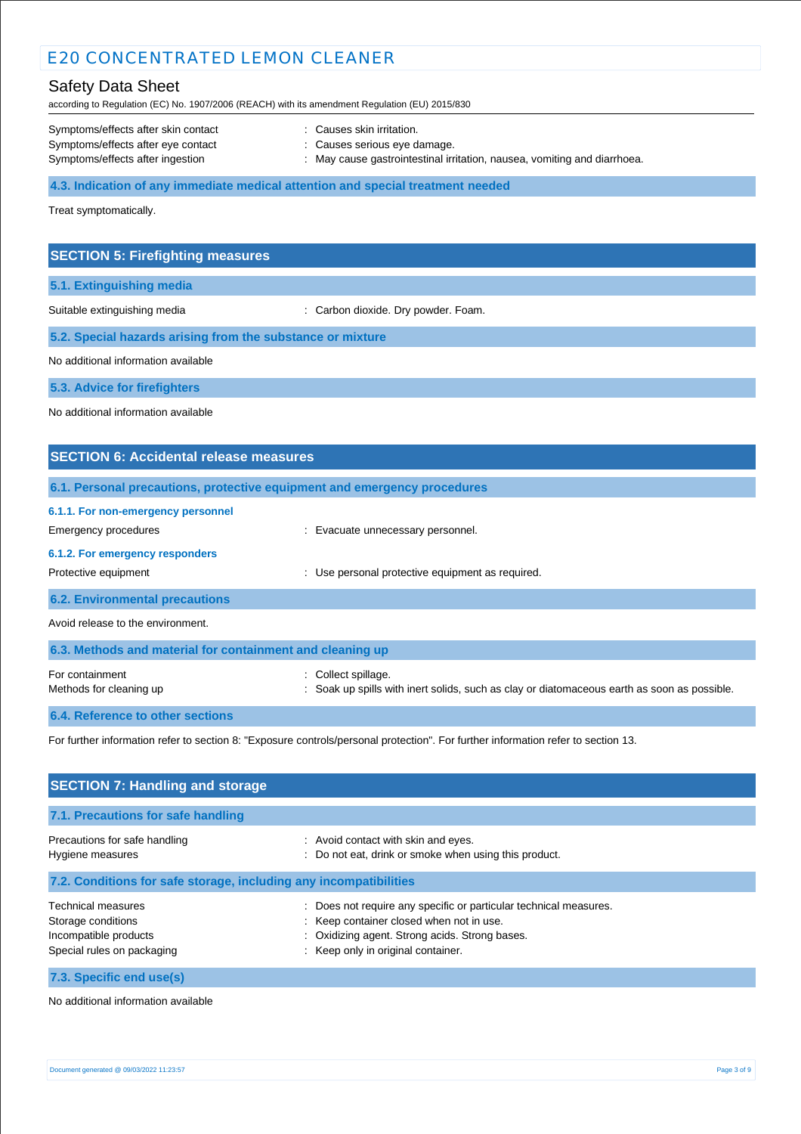# Safety Data Sheet

according to Regulation (EC) No. 1907/2006 (REACH) with its amendment Regulation (EU) 2015/830

| Symptoms/effects after skin contact | : Causes skin irritation.                                                |
|-------------------------------------|--------------------------------------------------------------------------|
| Symptoms/effects after eye contact  | : Causes serious eye damage.                                             |
| Symptoms/effects after ingestion    | : May cause gastrointestinal irritation, nausea, vomiting and diarrhoea. |

**4.3. Indication of any immediate medical attention and special treatment needed**

Treat symptomatically.

|  | <b>SECTION 5: Firefighting measures</b> |  |
|--|-----------------------------------------|--|
|  |                                         |  |

**5.1. Extinguishing media**

Suitable extinguishing media : Carbon dioxide. Dry powder. Foam.

**5.2. Special hazards arising from the substance or mixture**

No additional information available

**5.3. Advice for firefighters**

No additional information available

# **SECTION 6: Accidental release measures 6.1. Personal precautions, protective equipment and emergency procedures 6.1.1. For non-emergency personnel** Emergency procedures **Example 2018** Evacuate unnecessary personnel. **6.1.2. For emergency responders** Protective equipment **interval and the USE** Protective equipment as required. **6.2. Environmental precautions** Avoid release to the environment. **6.3. Methods and material for containment and cleaning up** For containment  $\qquad \qquad$ : Collect spillage. Methods for cleaning up : Soak up spills with inert solids, such as clay or diatomaceous earth as soon as possible.

**6.4. Reference to other sections**

For further information refer to section 8: "Exposure controls/personal protection". For further information refer to section 13.

| <b>SECTION 7: Handling and storage</b>                                                                 |                                                                                                                                                                                                       |  |  |
|--------------------------------------------------------------------------------------------------------|-------------------------------------------------------------------------------------------------------------------------------------------------------------------------------------------------------|--|--|
| 7.1. Precautions for safe handling                                                                     |                                                                                                                                                                                                       |  |  |
| Precautions for safe handling<br>Hygiene measures                                                      | : Avoid contact with skin and eyes.<br>: Do not eat, drink or smoke when using this product.                                                                                                          |  |  |
| 7.2. Conditions for safe storage, including any incompatibilities                                      |                                                                                                                                                                                                       |  |  |
| <b>Technical measures</b><br>Storage conditions<br>Incompatible products<br>Special rules on packaging | : Does not require any specific or particular technical measures.<br>: Keep container closed when not in use.<br>: Oxidizing agent. Strong acids. Strong bases.<br>: Keep only in original container. |  |  |
| 7.3. Specific end use(s)                                                                               |                                                                                                                                                                                                       |  |  |

No additional information available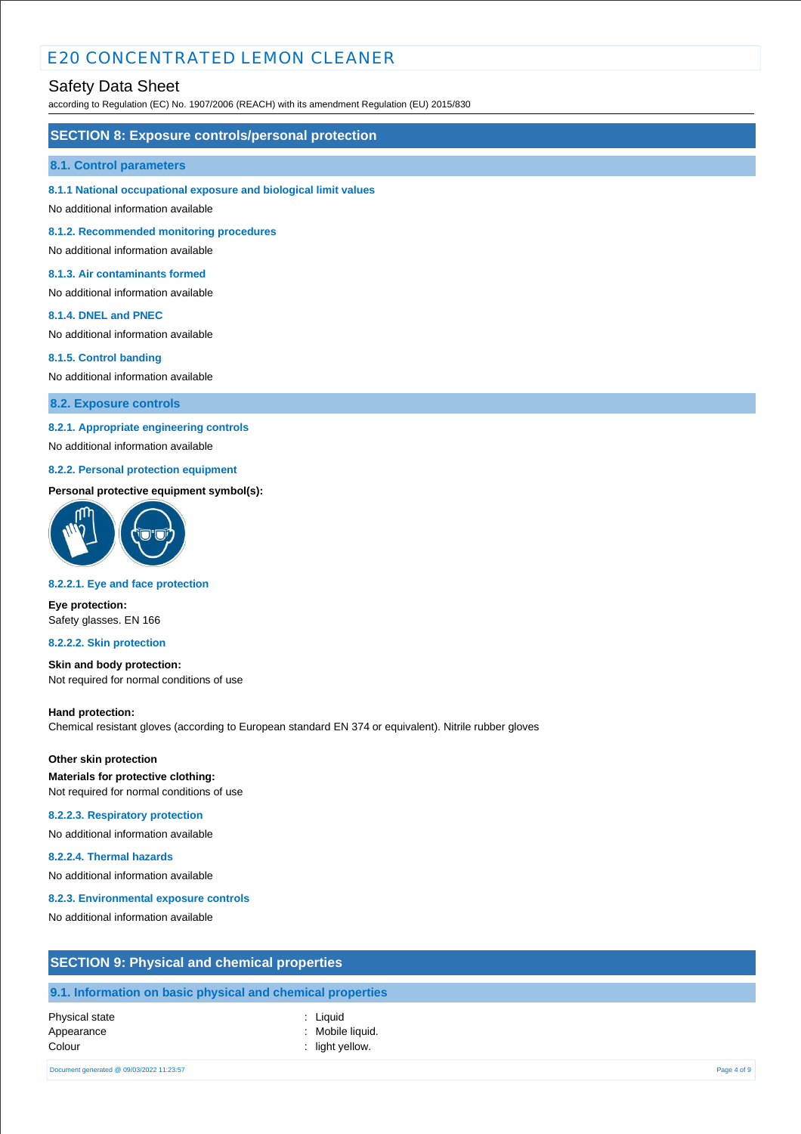# Safety Data Sheet

according to Regulation (EC) No. 1907/2006 (REACH) with its amendment Regulation (EU) 2015/830

### **SECTION 8: Exposure controls/personal protection**

#### **8.1. Control parameters**

**8.1.1 National occupational exposure and biological limit values**

No additional information available

**8.1.2. Recommended monitoring procedures**

No additional information available

#### **8.1.3. Air contaminants formed**

No additional information available

#### **8.1.4. DNEL and PNEC**

No additional information available

#### **8.1.5. Control banding**

No additional information available

**8.2. Exposure controls**

#### **8.2.1. Appropriate engineering controls**

No additional information available

## **8.2.2. Personal protection equipment**

#### **Personal protective equipment symbol(s):**



#### **8.2.2.1. Eye and face protection**

**Eye protection:** Safety glasses. EN 166

#### **8.2.2.2. Skin protection**

**Skin and body protection:** Not required for normal conditions of use

#### **Hand protection:**

Chemical resistant gloves (according to European standard EN 374 or equivalent). Nitrile rubber gloves

### **Other skin protection Materials for protective clothing:** Not required for normal conditions of use

#### **8.2.2.3. Respiratory protection**

No additional information available

#### **8.2.2.4. Thermal hazards**

No additional information available

#### **8.2.3. Environmental exposure controls**

No additional information available

| <b>SECTION 9: Physical and chemical properties</b>                                                  |
|-----------------------------------------------------------------------------------------------------|
|                                                                                                     |
| 【●】 【 】 【 】 ● 【 】 】 ① 】 ② 【 】 ① 【 】 ① 【 】 ① 【 】 ① 【 】 ① 【 】 ① 【 】 ① 【 】 ① 【 】 ① 【 】 ② 【 】 ② 【 】 ② 【 |

# **9.1. Information on basic physical and chemical properties**

#### Physical state : Liquid Appearance : Mobile liquid. Colour : light yellow.

Document generated @ 09/03/2022 11:23:57 Page 4 of 9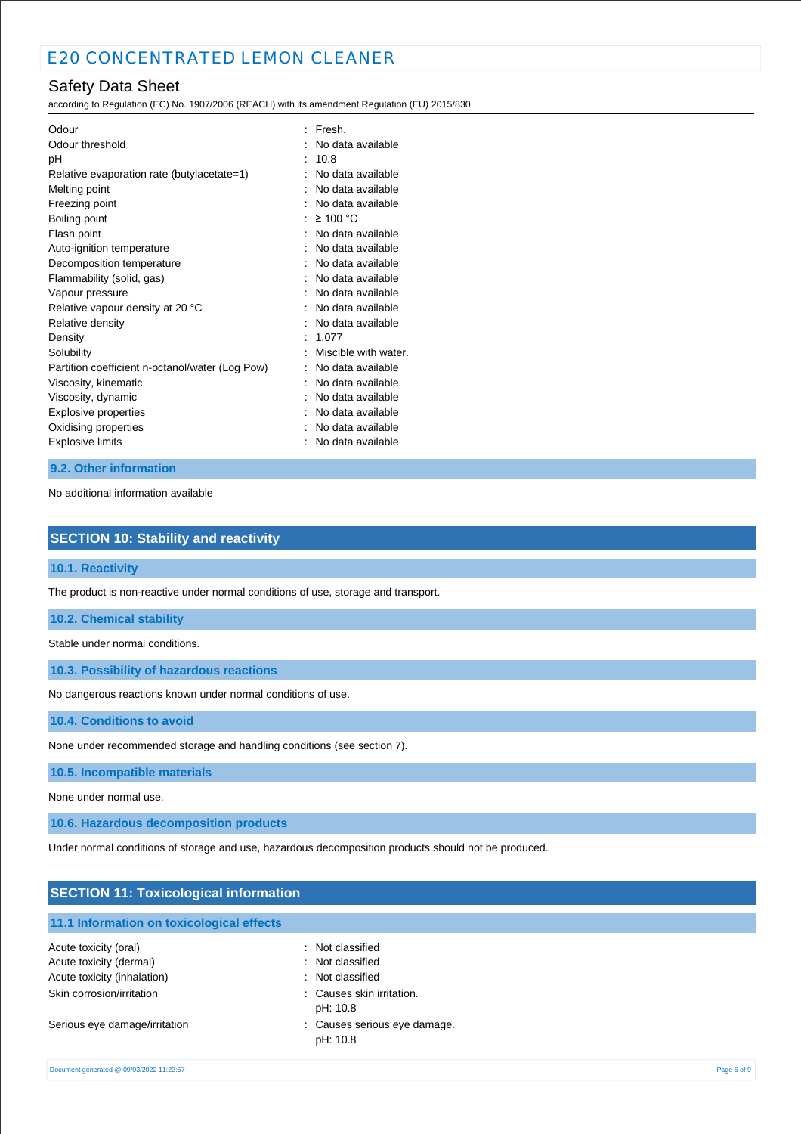# Safety Data Sheet

according to Regulation (EC) No. 1907/2006 (REACH) with its amendment Regulation (EU) 2015/830

| Odour                                           | Fresh.               |
|-------------------------------------------------|----------------------|
| Odour threshold                                 | No data available    |
| рH                                              | 10.8                 |
| Relative evaporation rate (butylacetate=1)      | No data available    |
| Melting point                                   | No data available    |
| Freezing point                                  | No data available    |
| Boiling point                                   | ≥ 100 °C             |
| Flash point                                     | No data available    |
| Auto-ignition temperature                       | No data available    |
| Decomposition temperature                       | No data available    |
| Flammability (solid, gas)                       | No data available    |
| Vapour pressure                                 | No data available    |
| Relative vapour density at 20 °C                | No data available    |
| Relative density                                | No data available    |
| Density                                         | 1.077                |
| Solubility                                      | Miscible with water. |
| Partition coefficient n-octanol/water (Log Pow) | No data available    |
| Viscosity, kinematic                            | No data available    |
| Viscosity, dynamic                              | No data available    |
| Explosive properties                            | No data available    |
| Oxidising properties                            | No data available    |
| <b>Explosive limits</b>                         | No data available    |
|                                                 |                      |

## **9.2. Other information**

No additional information available

## **SECTION 10: Stability and reactivity**

### **10.1. Reactivity**

The product is non-reactive under normal conditions of use, storage and transport.

#### **10.2. Chemical stability**

Stable under normal conditions.

**10.3. Possibility of hazardous reactions**

No dangerous reactions known under normal conditions of use.

**10.4. Conditions to avoid**

None under recommended storage and handling conditions (see section 7).

### **10.5. Incompatible materials**

None under normal use.

**10.6. Hazardous decomposition products**

Under normal conditions of storage and use, hazardous decomposition products should not be produced.

## **SECTION 11: Toxicological information**

### **11.1 Information on toxicological effects**

| Acute toxicity (oral)         | : Not classified                         |
|-------------------------------|------------------------------------------|
| Acute toxicity (dermal)       | : Not classified                         |
| Acute toxicity (inhalation)   | : Not classified                         |
| Skin corrosion/irritation     | : Causes skin irritation.<br>pH: 10.8    |
| Serious eye damage/irritation | : Causes serious eye damage.<br>pH: 10.8 |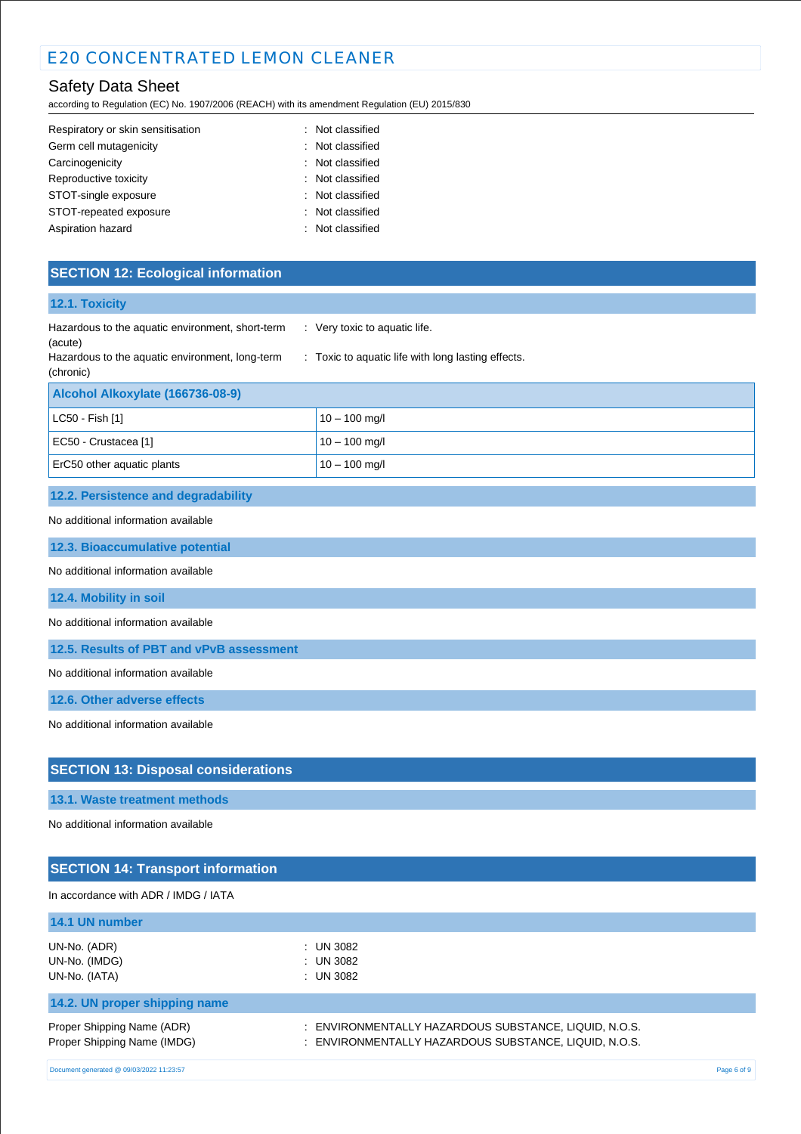# Safety Data Sheet

according to Regulation (EC) No. 1907/2006 (REACH) with its amendment Regulation (EU) 2015/830

| Respiratory or skin sensitisation | : Not classified |
|-----------------------------------|------------------|
| Germ cell mutagenicity            | : Not classified |
| Carcinogenicity                   | : Not classified |
| Reproductive toxicity             | : Not classified |
| STOT-single exposure              | : Not classified |
| STOT-repeated exposure            | : Not classified |
| Aspiration hazard                 | : Not classified |

# **SECTION 12: Ecological information**

| 12.1. Toxicity                                               |                                                    |
|--------------------------------------------------------------|----------------------------------------------------|
| Hazardous to the aquatic environment, short-term<br>(acute)  | : Very toxic to aquatic life.                      |
| Hazardous to the aquatic environment, long-term<br>(chronic) | : Toxic to aquatic life with long lasting effects. |
| Alcohol Alkoxylate (166736-08-9)                             |                                                    |
| LC50 - Fish [1]                                              | $10 - 100$ mg/l                                    |
| EC50 - Crustacea [1]                                         | $10 - 100$ mg/l                                    |
| ErC50 other aquatic plants                                   | $10 - 100$ mg/l                                    |
| 12.2. Persistence and degradability                          |                                                    |
| No additional information available                          |                                                    |
| 12.3. Bioaccumulative potential                              |                                                    |
| No additional information available                          |                                                    |
| 12.4. Mobility in soil                                       |                                                    |
| No additional information available                          |                                                    |
| 12.5. Results of PBT and vPvB assessment                     |                                                    |
| No additional information available                          |                                                    |
| 12.6. Other adverse effects                                  |                                                    |
| No additional information available                          |                                                    |
| <b>SECTION 13: Disposal considerations</b>                   |                                                    |
| 13.1. Waste treatment methods                                |                                                    |

No additional information available

# **SECTION 14: Transport information**

In accordance with ADR / IMDG / IATA

| 14.1 UN number                |                                                       |
|-------------------------------|-------------------------------------------------------|
| UN-No. (ADR)                  | : UN 3082                                             |
| UN-No. (IMDG)                 | $:$ UN 3082                                           |
| UN-No. (IATA)                 | $:$ UN 3082                                           |
| 14.2. UN proper shipping name |                                                       |
| Proper Shipping Name (ADR)    | : ENVIRONMENTALLY HAZARDOUS SUBSTANCE, LIQUID, N.O.S. |
| Proper Shipping Name (IMDG)   | : ENVIRONMENTALLY HAZARDOUS SUBSTANCE, LIQUID, N.O.S. |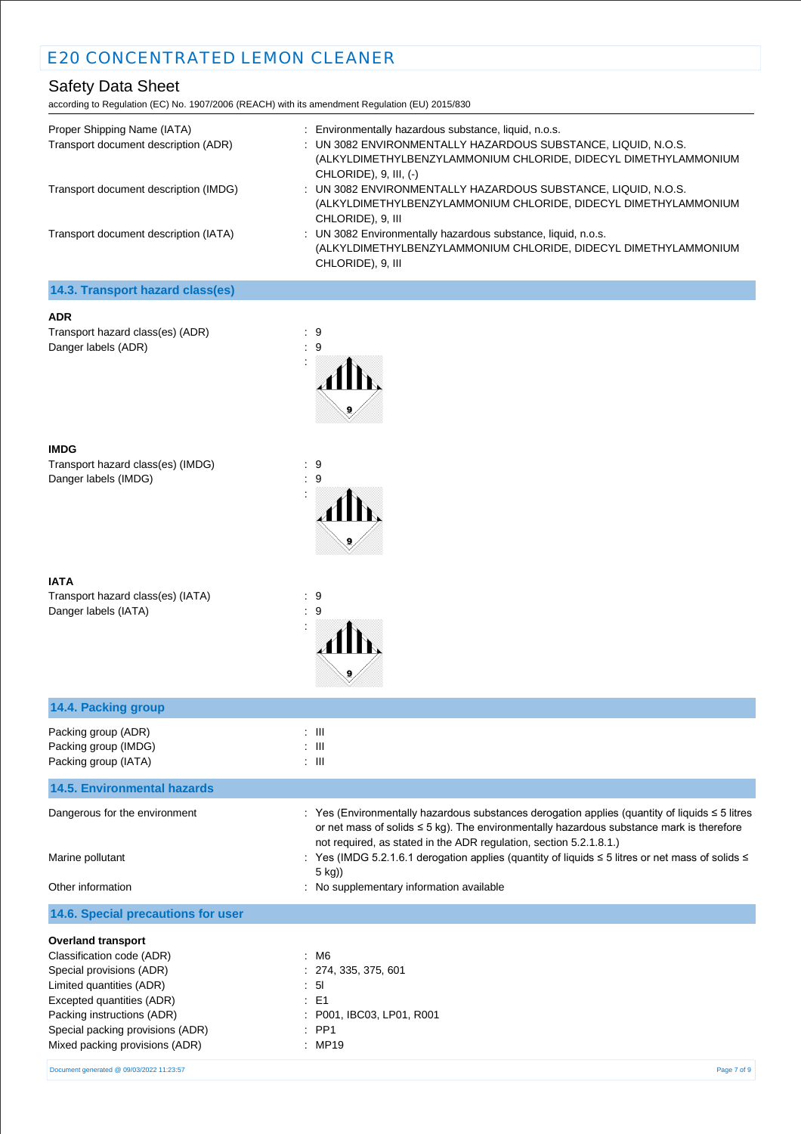# Safety Data Sheet

according to Regulation (EC) No. 1907/2006 (REACH) with its amendment Regulation (EU) 2015/830

| Proper Shipping Name (IATA)<br>Transport document description (ADR) | : Environmentally hazardous substance, liquid, n.o.s.<br>: UN 3082 ENVIRONMENTALLY HAZARDOUS SUBSTANCE, LIQUID, N.O.S.<br>(ALKYLDIMETHYLBENZYLAMMONIUM CHLORIDE, DIDECYL DIMETHYLAMMONIUM<br>CHLORIDE), $9$ , III, $(-)$ |
|---------------------------------------------------------------------|--------------------------------------------------------------------------------------------------------------------------------------------------------------------------------------------------------------------------|
| Transport document description (IMDG)                               | : UN 3082 ENVIRONMENTALLY HAZARDOUS SUBSTANCE, LIQUID, N.O.S.<br>(ALKYLDIMETHYLBENZYLAMMONIUM CHLORIDE, DIDECYL DIMETHYLAMMONIUM<br>CHLORIDE), 9, III                                                                    |
| Transport document description (IATA)                               | : UN 3082 Environmentally hazardous substance, liquid, n.o.s.<br>(ALKYLDIMETHYLBENZYLAMMONIUM CHLORIDE, DIDECYL DIMETHYLAMMONIUM<br>CHLORIDE), 9, III                                                                    |

# **14.3. Transport hazard class(es)**

Transport hazard class(es) (ADR) : 9 Danger labels (ADR) : 9



:

:

#### **IMDG**

Transport hazard class(es) (IMDG) : 9<br>Danger labels (IMDG) : 9 Danger labels (IMDG)

Transport hazard class(es) (IATA) : 9<br>Danger labels (IATA) : 9 Danger labels (IATA)



| 14.4. Packing group                                                                                                                                                                                                                             |                                                                                                                                                                                                                                                                                                                                                                                                                                        |
|-------------------------------------------------------------------------------------------------------------------------------------------------------------------------------------------------------------------------------------------------|----------------------------------------------------------------------------------------------------------------------------------------------------------------------------------------------------------------------------------------------------------------------------------------------------------------------------------------------------------------------------------------------------------------------------------------|
| Packing group (ADR)<br>Packing group (IMDG)<br>Packing group (IATA)                                                                                                                                                                             | $\therefore$ III<br>$\therefore$ $\blacksquare$<br>: III                                                                                                                                                                                                                                                                                                                                                                               |
| <b>14.5. Environmental hazards</b>                                                                                                                                                                                                              |                                                                                                                                                                                                                                                                                                                                                                                                                                        |
| Dangerous for the environment<br>Marine pollutant<br>Other information                                                                                                                                                                          | : Yes (Environmentally hazardous substances derogation applies (quantity of liquids $\leq$ 5 litres<br>or net mass of solids $\leq$ 5 kg). The environmentally hazardous substance mark is therefore<br>not required, as stated in the ADR regulation, section 5.2.1.8.1.)<br>: Yes (IMDG 5.2.1.6.1 derogation applies (quantity of liquids ≤ 5 litres or net mass of solids ≤<br>$5$ kg))<br>: No supplementary information available |
| 14.6. Special precautions for user                                                                                                                                                                                                              |                                                                                                                                                                                                                                                                                                                                                                                                                                        |
| <b>Overland transport</b><br>Classification code (ADR)<br>Special provisions (ADR)<br>Limited quantities (ADR)<br>Excepted quantities (ADR)<br>Packing instructions (ADR)<br>Special packing provisions (ADR)<br>Mixed packing provisions (ADR) | : M6<br>: 274, 335, 375, 601<br>: 51<br>$\therefore$ E1<br>: P001, IBC03, LP01, R001<br>$:$ PP1<br>: MP19                                                                                                                                                                                                                                                                                                                              |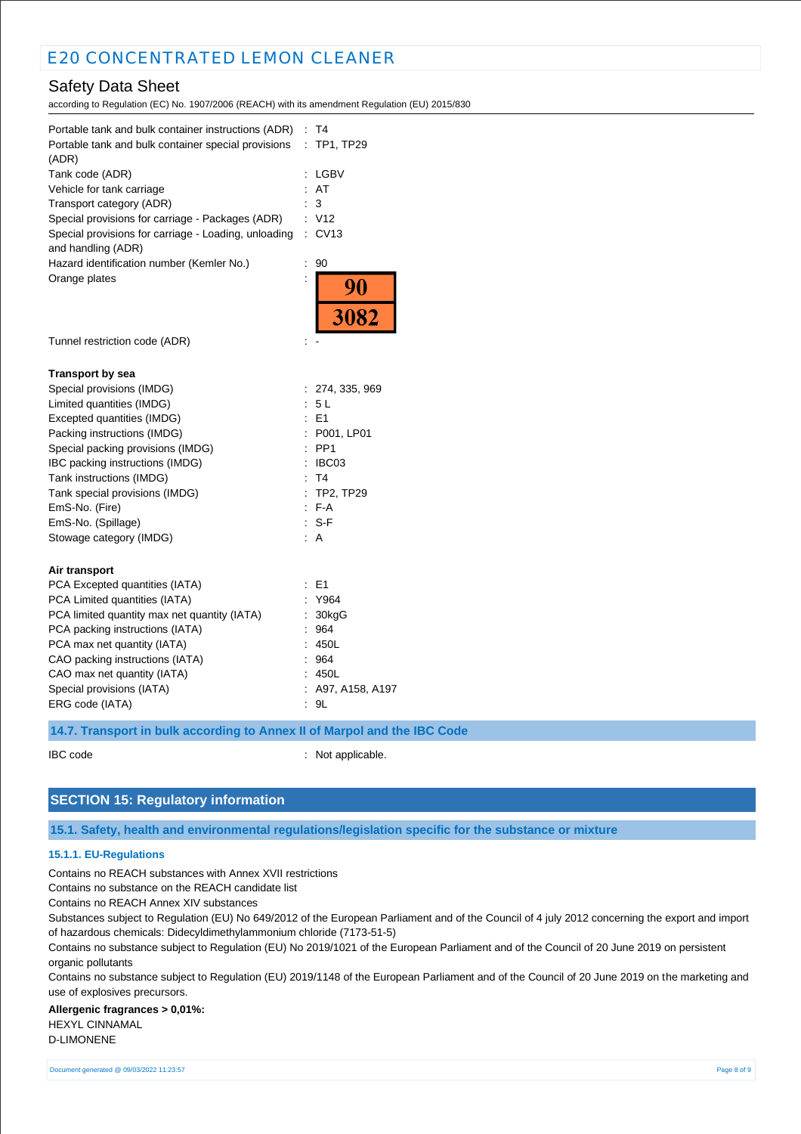# Safety Data Sheet

according to Regulation (EC) No. 1907/2006 (REACH) with its amendment Regulation (EU) 2015/830

| Portable tank and bulk container instructions (ADR)<br>Portable tank and bulk container special provisions<br>(ADR) | : T4<br>TP1, TP29<br>÷.    |
|---------------------------------------------------------------------------------------------------------------------|----------------------------|
| Tank code (ADR)                                                                                                     | LGBV                       |
| Vehicle for tank carriage                                                                                           | : AT                       |
| Transport category (ADR)                                                                                            | 3                          |
| Special provisions for carriage - Packages (ADR)                                                                    | : V12                      |
| Special provisions for carriage - Loading, unloading<br>and handling (ADR)                                          | $:$ CV13                   |
| Hazard identification number (Kemler No.)                                                                           | $\ddot{\phantom{a}}$<br>90 |
| Orange plates                                                                                                       | 90<br>3082                 |
| Tunnel restriction code (ADR)                                                                                       |                            |
| <b>Transport by sea</b>                                                                                             |                            |
| Special provisions (IMDG)                                                                                           | : 274, 335, 969            |
| Limited quantities (IMDG)                                                                                           | 5 L                        |
| Excepted quantities (IMDG)                                                                                          | $E = 1$                    |
| Packing instructions (IMDG)                                                                                         | : P001, LP01               |
| Special packing provisions (IMDG)                                                                                   | PP <sub>1</sub>            |
| IBC packing instructions (IMDG)                                                                                     | IBC03                      |
| Tank instructions (IMDG)                                                                                            | : T4                       |
| Tank special provisions (IMDG)                                                                                      | $:$ TP2, TP29              |
| EmS-No. (Fire)                                                                                                      | $F-A$                      |
| EmS-No. (Spillage)                                                                                                  | S-F                        |
| Stowage category (IMDG)                                                                                             | : A                        |
| Air transport                                                                                                       |                            |
| PCA Excepted quantities (IATA)                                                                                      | $E = 1$                    |
| PCA Limited quantities (IATA)                                                                                       | : Y964                     |
| PCA limited quantity max net quantity (IATA)                                                                        | 30kgG                      |
| PCA packing instructions (IATA)                                                                                     | 964                        |
| PCA max net quantity (IATA)                                                                                         | 450L                       |
| CAO packing instructions (IATA)                                                                                     | 964                        |
| CAO max net quantity (IATA)                                                                                         | 450L                       |
| Special provisions (IATA)                                                                                           | A97, A158, A197            |
| ERG code (IATA)                                                                                                     | 9L                         |
| 14.7. Transport in bulk according to Annex II of Marpol and the IBC Code                                            |                            |

IBC code : Not applicable.

# **SECTION 15: Regulatory information**

**15.1. Safety, health and environmental regulations/legislation specific for the substance or mixture**

### **15.1.1. EU-Regulations**

Contains no REACH substances with Annex XVII restrictions

Contains no substance on the REACH candidate list

Contains no REACH Annex XIV substances

Substances subject to Regulation (EU) No 649/2012 of the European Parliament and of the Council of 4 july 2012 concerning the export and import of hazardous chemicals: Didecyldimethylammonium chloride (7173-51-5)

Contains no substance subject to Regulation (EU) No 2019/1021 of the European Parliament and of the Council of 20 June 2019 on persistent organic pollutants

Contains no substance subject to Regulation (EU) 2019/1148 of the European Parliament and of the Council of 20 June 2019 on the marketing and use of explosives precursors.

#### **Allergenic fragrances > 0,01%:** HEXYL CINNAMAL D-LIMONENE